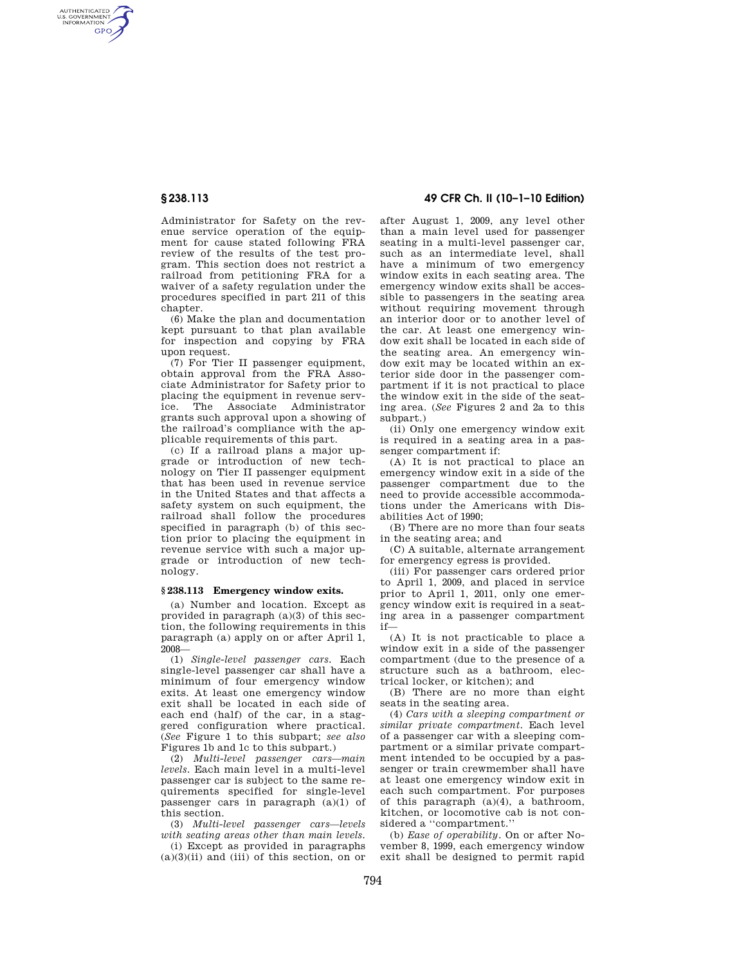AUTHENTICATED<br>U.S. GOVERNMENT<br>INFORMATION **GPO** 

> Administrator for Safety on the revenue service operation of the equipment for cause stated following FRA review of the results of the test program. This section does not restrict a railroad from petitioning FRA for a waiver of a safety regulation under the procedures specified in part 211 of this chapter.

> (6) Make the plan and documentation kept pursuant to that plan available for inspection and copying by FRA upon request.

> (7) For Tier II passenger equipment, obtain approval from the FRA Associate Administrator for Safety prior to placing the equipment in revenue service. The Associate Administrator grants such approval upon a showing of the railroad's compliance with the applicable requirements of this part.

> (c) If a railroad plans a major upgrade or introduction of new technology on Tier II passenger equipment that has been used in revenue service in the United States and that affects a safety system on such equipment, the railroad shall follow the procedures specified in paragraph (b) of this section prior to placing the equipment in revenue service with such a major upgrade or introduction of new technology.

#### **§ 238.113 Emergency window exits.**

(a) Number and location. Except as provided in paragraph (a)(3) of this section, the following requirements in this paragraph (a) apply on or after April 1, 2008—

(1) *Single-level passenger cars.* Each single-level passenger car shall have a minimum of four emergency window exits. At least one emergency window exit shall be located in each side of each end (half) of the car, in a staggered configuration where practical. (*See* Figure 1 to this subpart; *see also*  Figures 1b and 1c to this subpart.)

(2) *Multi-level passenger cars—main levels.* Each main level in a multi-level passenger car is subject to the same requirements specified for single-level passenger cars in paragraph (a)(1) of this section.

(3) *Multi-level passenger cars—levels with seating areas other than main levels.* 

(i) Except as provided in paragraphs  $(a)(3)(ii)$  and (iii) of this section, on or

# **§ 238.113 49 CFR Ch. II (10–1–10 Edition)**

after August 1, 2009, any level other than a main level used for passenger seating in a multi-level passenger car, such as an intermediate level, shall have a minimum of two emergency window exits in each seating area. The emergency window exits shall be accessible to passengers in the seating area without requiring movement through an interior door or to another level of the car. At least one emergency window exit shall be located in each side of the seating area. An emergency window exit may be located within an exterior side door in the passenger compartment if it is not practical to place the window exit in the side of the seating area. (*See* Figures 2 and 2a to this subpart.)

(ii) Only one emergency window exit is required in a seating area in a passenger compartment if:

(A) It is not practical to place an emergency window exit in a side of the passenger compartment due to the need to provide accessible accommodations under the Americans with Disabilities Act of 1990;

(B) There are no more than four seats in the seating area; and

(C) A suitable, alternate arrangement for emergency egress is provided.

(iii) For passenger cars ordered prior to April 1, 2009, and placed in service prior to April 1, 2011, only one emergency window exit is required in a seating area in a passenger compartment if—

(A) It is not practicable to place a window exit in a side of the passenger compartment (due to the presence of a structure such as a bathroom, electrical locker, or kitchen); and

(B) There are no more than eight seats in the seating area.

(4) *Cars with a sleeping compartment or similar private compartment.* Each level of a passenger car with a sleeping compartment or a similar private compartment intended to be occupied by a passenger or train crewmember shall have at least one emergency window exit in each such compartment. For purposes of this paragraph (a)(4), a bathroom, kitchen, or locomotive cab is not considered a ''compartment.''

(b) *Ease of operability.* On or after November 8, 1999, each emergency window exit shall be designed to permit rapid